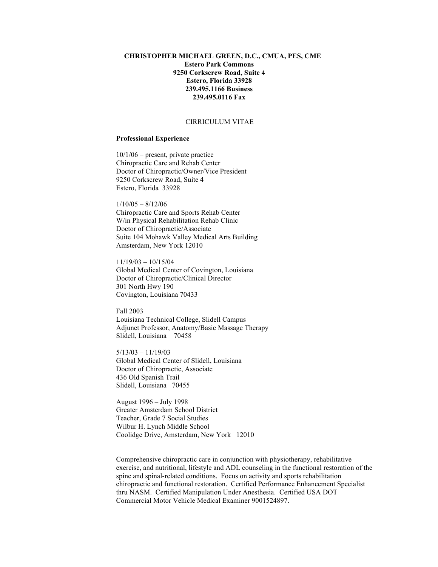# **CHRISTOPHER MICHAEL GREEN, D.C., CMUA, PES, CME Estero Park Commons 9250 Corkscrew Road, Suite 4 Estero, Florida 33928 239.495.1166 Business 239.495.0116 Fax**

# CIRRICULUM VITAE

### **Professional Experience**

10/1/06 – present, private practice Chiropractic Care and Rehab Center Doctor of Chiropractic/Owner/Vice President 9250 Corkscrew Road, Suite 4 Estero, Florida 33928

 $1/10/05 - 8/12/06$ Chiropractic Care and Sports Rehab Center W/in Physical Rehabilitation Rehab Clinic Doctor of Chiropractic/Associate Suite 104 Mohawk Valley Medical Arts Building Amsterdam, New York 12010

11/19/03 – 10/15/04 Global Medical Center of Covington, Louisiana Doctor of Chiropractic/Clinical Director 301 North Hwy 190 Covington, Louisiana 70433

Fall 2003 Louisiana Technical College, Slidell Campus Adjunct Professor, Anatomy/Basic Massage Therapy Slidell, Louisiana 70458

 $5/13/03 - 11/19/03$ Global Medical Center of Slidell, Louisiana Doctor of Chiropractic, Associate 436 Old Spanish Trail Slidell, Louisiana 70455

August 1996 – July 1998 Greater Amsterdam School District Teacher, Grade 7 Social Studies Wilbur H. Lynch Middle School Coolidge Drive, Amsterdam, New York 12010

Comprehensive chiropractic care in conjunction with physiotherapy, rehabilitative exercise, and nutritional, lifestyle and ADL counseling in the functional restoration of the spine and spinal-related conditions. Focus on activity and sports rehabilitation chiropractic and functional restoration. Certified Performance Enhancement Specialist thru NASM. Certified Manipulation Under Anesthesia. Certified USA DOT Commercial Motor Vehicle Medical Examiner 9001524897.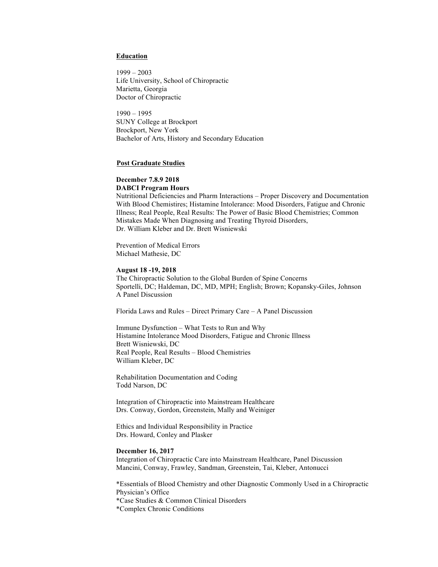### **Education**

1999 – 2003 Life University, School of Chiropractic Marietta, Georgia Doctor of Chiropractic

1990 – 1995 SUNY College at Brockport Brockport, New York Bachelor of Arts, History and Secondary Education

### **Post Graduate Studies**

#### **December 7.8.9 2018 DABCI Program Hours**

Nutritional Deficiencies and Pharm Interactions – Proper Discovery and Documentation With Blood Chemistires; Histamine Intolerance: Mood Disorders, Fatigue and Chronic Illness; Real People, Real Results: The Power of Basic Blood Chemistries; Common Mistakes Made When Diagnosing and Treating Thyroid Disorders, Dr. William Kleber and Dr. Brett Wisniewski

Prevention of Medical Errors Michael Mathesie, DC

#### **August 18 -19, 2018**

The Chiropractic Solution to the Global Burden of Spine Concerns Sportelli, DC; Haldeman, DC, MD, MPH; English; Brown; Kopansky-Giles, Johnson A Panel Discussion

Florida Laws and Rules – Direct Primary Care – A Panel Discussion

Immune Dysfunction – What Tests to Run and Why Histamine Intolerance Mood Disorders, Fatigue and Chronic Illness Brett Wisniewski, DC Real People, Real Results – Blood Chemistries William Kleber, DC

Rehabilitation Documentation and Coding Todd Narson, DC

Integration of Chiropractic into Mainstream Healthcare Drs. Conway, Gordon, Greenstein, Mally and Weiniger

Ethics and Individual Responsibility in Practice Drs. Howard, Conley and Plasker

#### **December 16, 2017**

Integration of Chiropractic Care into Mainstream Healthcare, Panel Discussion Mancini, Conway, Frawley, Sandman, Greenstein, Tai, Kleber, Antonucci

\*Essentials of Blood Chemistry and other Diagnostic Commonly Used in a Chiropractic Physician's Office \*Case Studies & Common Clinical Disorders \*Complex Chronic Conditions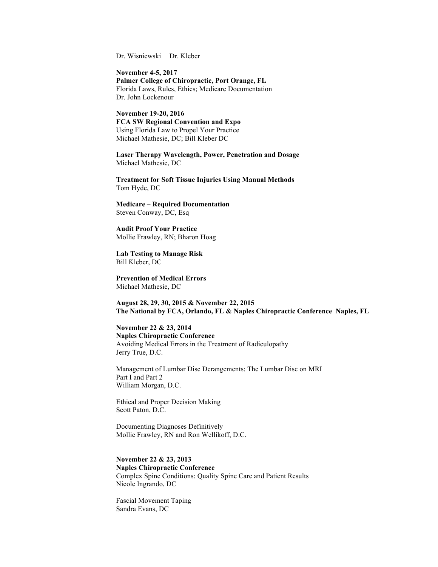Dr. Wisniewski Dr. Kleber

**November 4-5, 2017 Palmer College of Chiropractic, Port Orange, FL** Florida Laws, Rules, Ethics; Medicare Documentation Dr. John Lockenour

**November 19-20, 2016 FCA SW Regional Convention and Expo** Using Florida Law to Propel Your Practice Michael Mathesie, DC; Bill Kleber DC

**Laser Therapy Wavelength, Power, Penetration and Dosage** Michael Mathesie, DC

**Treatment for Soft Tissue Injuries Using Manual Methods** Tom Hyde, DC

**Medicare – Required Documentation** Steven Conway, DC, Esq

**Audit Proof Your Practice** Mollie Frawley, RN; Bharon Hoag

**Lab Testing to Manage Risk** Bill Kleber, DC

**Prevention of Medical Errors** Michael Mathesie, DC

**August 28, 29, 30, 2015 & November 22, 2015 The National by FCA, Orlando, FL & Naples Chiropractic Conference Naples, FL** 

**November 22 & 23, 2014 Naples Chiropractic Conference** Avoiding Medical Errors in the Treatment of Radiculopathy Jerry True, D.C.

Management of Lumbar Disc Derangements: The Lumbar Disc on MRI Part I and Part 2 William Morgan, D.C.

Ethical and Proper Decision Making Scott Paton, D.C.

Documenting Diagnoses Definitively Mollie Frawley, RN and Ron Wellikoff, D.C.

**November 22 & 23, 2013 Naples Chiropractic Conference** Complex Spine Conditions: Quality Spine Care and Patient Results Nicole Ingrando, DC

Fascial Movement Taping Sandra Evans, DC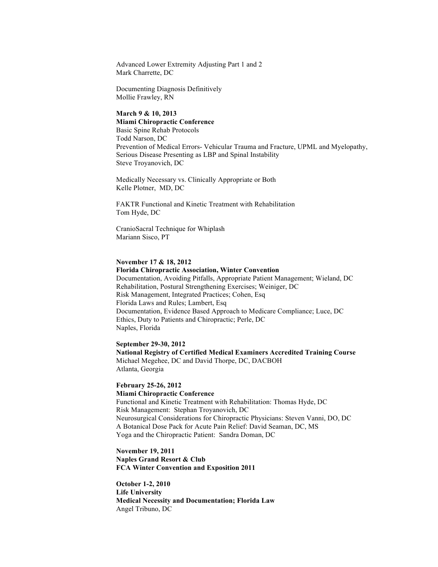Advanced Lower Extremity Adjusting Part 1 and 2 Mark Charrette, DC

Documenting Diagnosis Definitively Mollie Frawley, RN

# **March 9 & 10, 2013 Miami Chiropractic Conference** Basic Spine Rehab Protocols Todd Narson, DC Prevention of Medical Errors- Vehicular Trauma and Fracture, UPML and Myelopathy, Serious Disease Presenting as LBP and Spinal Instability Steve Troyanovich, DC

Medically Necessary vs. Clinically Appropriate or Both Kelle Plotner, MD, DC

FAKTR Functional and Kinetic Treatment with Rehabilitation Tom Hyde, DC

CranioSacral Technique for Whiplash Mariann Sisco, PT

## **November 17 & 18, 2012**

# **Florida Chiropractic Association, Winter Convention** Documentation, Avoiding Pitfalls, Appropriate Patient Management; Wieland, DC Rehabilitation, Postural Strengthening Exercises; Weiniger, DC Risk Management, Integrated Practices; Cohen, Esq Florida Laws and Rules; Lambert, Esq Documentation, Evidence Based Approach to Medicare Compliance; Luce, DC Ethics, Duty to Patients and Chiropractic; Perle, DC Naples, Florida

### **September 29-30, 2012**

**National Registry of Certified Medical Examiners Accredited Training Course** Michael Megehee, DC and David Thorpe, DC, DACBOH Atlanta, Georgia

# **February 25-26, 2012**

**Miami Chiropractic Conference** Functional and Kinetic Treatment with Rehabilitation: Thomas Hyde, DC Risk Management: Stephan Troyanovich, DC Neurosurgical Considerations for Chiropractic Physicians: Steven Vanni, DO, DC A Botanical Dose Pack for Acute Pain Relief: David Seaman, DC, MS Yoga and the Chiropractic Patient: Sandra Doman, DC

# **November 19, 2011 Naples Grand Resort & Club FCA Winter Convention and Exposition 2011**

**October 1-2, 2010 Life University Medical Necessity and Documentation; Florida Law** Angel Tribuno, DC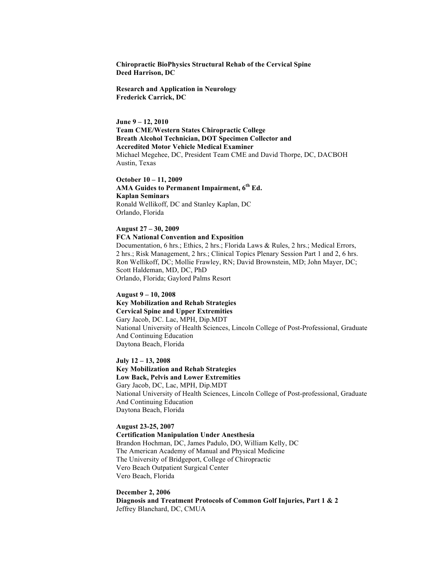**Chiropractic BioPhysics Structural Rehab of the Cervical Spine Deed Harrison, DC**

**Research and Application in Neurology Frederick Carrick, DC**

**June 9 – 12, 2010 Team CME/Western States Chiropractic College Breath Alcohol Technician, DOT Specimen Collector and Accredited Motor Vehicle Medical Examiner** Michael Megehee, DC, President Team CME and David Thorpe, DC, DACBOH Austin, Texas

**October 10 – 11, 2009 AMA Guides to Permanent Impairment, 6th Ed. Kaplan Seminars** Ronald Wellikoff, DC and Stanley Kaplan, DC Orlando, Florida

**August 27 – 30, 2009 FCA National Convention and Exposition** Documentation, 6 hrs.; Ethics, 2 hrs.; Florida Laws & Rules, 2 hrs.; Medical Errors, 2 hrs.; Risk Management, 2 hrs.; Clinical Topics Plenary Session Part 1 and 2, 6 hrs. Ron Wellikoff, DC; Mollie Frawley, RN; David Brownstein, MD; John Mayer, DC; Scott Haldeman, MD, DC, PhD Orlando, Florida; Gaylord Palms Resort

**August 9 – 10, 2008 Key Mobilization and Rehab Strategies Cervical Spine and Upper Extremities** Gary Jacob, DC. Lac, MPH, Dip.MDT National University of Health Sciences, Lincoln College of Post-Professional, Graduate And Continuing Education Daytona Beach, Florida

**July 12 – 13, 2008 Key Mobilization and Rehab Strategies Low Back, Pelvis and Lower Extremities** Gary Jacob, DC, Lac, MPH, Dip.MDT National University of Health Sciences, Lincoln College of Post-professional, Graduate And Continuing Education Daytona Beach, Florida

**August 23-25, 2007 Certification Manipulation Under Anesthesia** Brandon Hochman, DC, James Padulo, DO, William Kelly, DC The American Academy of Manual and Physical Medicine The University of Bridgeport, College of Chiropractic Vero Beach Outpatient Surgical Center Vero Beach, Florida

**December 2, 2006 Diagnosis and Treatment Protocols of Common Golf Injuries, Part 1 & 2** Jeffrey Blanchard, DC, CMUA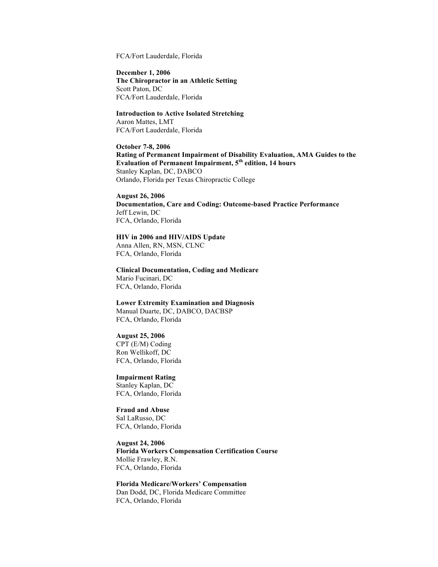FCA/Fort Lauderdale, Florida

**December 1, 2006 The Chiropractor in an Athletic Setting** Scott Paton, DC FCA/Fort Lauderdale, Florida

**Introduction to Active Isolated Stretching** Aaron Mattes, LMT FCA/Fort Lauderdale, Florida

**October 7-8, 2006**

**Rating of Permanent Impairment of Disability Evaluation, AMA Guides to the Evaluation of Permanent Impairment, 5th edition, 14 hours** Stanley Kaplan, DC, DABCO Orlando, Florida per Texas Chiropractic College

**August 26, 2006**

**Documentation, Care and Coding: Outcome-based Practice Performance** Jeff Lewin, DC FCA, Orlando, Florida

# **HIV in 2006 and HIV/AIDS Update**

Anna Allen, RN, MSN, CLNC FCA, Orlando, Florida

**Clinical Documentation, Coding and Medicare** Mario Fucinari, DC FCA, Orlando, Florida

**Lower Extremity Examination and Diagnosis**

Manual Duarte, DC, DABCO, DACBSP FCA, Orlando, Florida

#### **August 25, 2006**

CPT (E/M) Coding Ron Wellikoff, DC FCA, Orlando, Florida

**Impairment Rating** Stanley Kaplan, DC

FCA, Orlando, Florida

**Fraud and Abuse** Sal LaRusso, DC FCA, Orlando, Florida

**August 24, 2006 Florida Workers Compensation Certification Course** Mollie Frawley, R.N. FCA, Orlando, Florida

**Florida Medicare/Workers' Compensation** Dan Dodd, DC, Florida Medicare Committee FCA, Orlando, Florida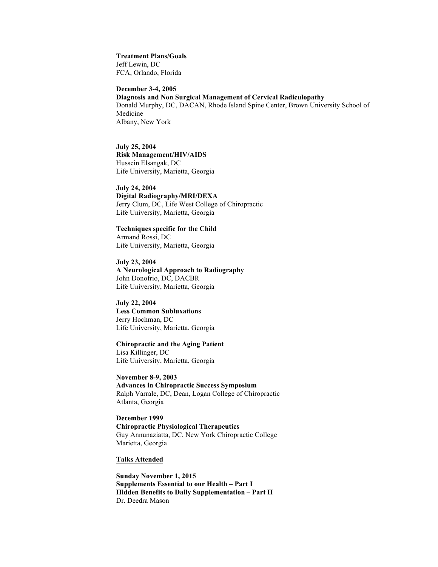**Treatment Plans/Goals** Jeff Lewin, DC FCA, Orlando, Florida

**December 3-4, 2005**

**Diagnosis and Non Surgical Management of Cervical Radiculopathy** Donald Murphy, DC, DACAN, Rhode Island Spine Center, Brown University School of Medicine Albany, New York

**July 25, 2004 Risk Management/HIV/AIDS** Hussein Elsangak, DC Life University, Marietta, Georgia

**July 24, 2004 Digital Radiography/MRI/DEXA** Jerry Clum, DC, Life West College of Chiropractic Life University, Marietta, Georgia

**Techniques specific for the Child** Armand Rossi, DC Life University, Marietta, Georgia

**July 23, 2004 A Neurological Approach to Radiography** John Donofrio, DC, DACBR Life University, Marietta, Georgia

**July 22, 2004 Less Common Subluxations** Jerry Hochman, DC Life University, Marietta, Georgia

**Chiropractic and the Aging Patient** Lisa Killinger, DC Life University, Marietta, Georgia

**November 8-9, 2003 Advances in Chiropractic Success Symposium** Ralph Varrale, DC, Dean, Logan College of Chiropractic Atlanta, Georgia

**December 1999 Chiropractic Physiological Therapeutics** Guy Annunaziatta, DC, New York Chiropractic College Marietta, Georgia

# **Talks Attended**

**Sunday November 1, 2015 Supplements Essential to our Health – Part I Hidden Benefits to Daily Supplementation – Part II** Dr. Deedra Mason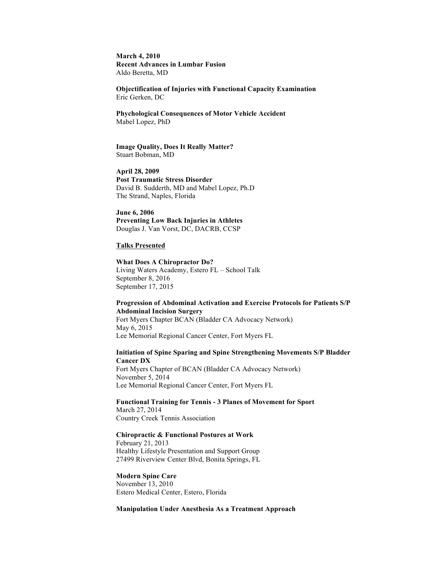**March 4, 2010 Recent Advances in Lumbar Fusion** Aldo Beretta, MD

**Objectification of Injuries with Functional Capacity Examination** Eric Gerken, DC

**Phychological Consequences of Motor Vehicle Accident** Mabel Lopez, PhD

#### **Image Quality, Does It Really Matter?** Stuart Bobman, MD

**April 28, 2009 Post Traumatic Stress Disorder** David B. Sudderth, MD and Mabel Lopez, Ph.D The Strand, Naples, Florida

**June 6, 2006 Preventing Low Back Injuries in Athletes** Douglas J. Van Vorst, DC, DACRB, CCSP

#### **Talks Presented**

**What Does A Chiropractor Do?** Living Waters Academy, Estero FL – School Talk September 8, 2016 September 17, 2015

# **Progression of Abdominal Activation and Exercise Protocols for Patients S/P Abdominal Incision Surgery**

Fort Myers Chapter BCAN (Bladder CA Advocacy Network) May 6, 2015 Lee Memorial Regional Cancer Center, Fort Myers FL

### **Initiation of Spine Sparing and Spine Strengthening Movements S/P Bladder Cancer DX**

Fort Myers Chapter of BCAN (Bladder CA Advocacy Network) November 5, 2014 Lee Memorial Regional Cancer Center, Fort Myers FL

**Functional Training for Tennis - 3 Planes of Movement for Sport** March 27, 2014 Country Creek Tennis Association

### **Chiropractic & Functional Postures at Work**

February 21, 2013 Healthy Lifestyle Presentation and Support Group 27499 Riverview Center Blvd, Bonita Springs, FL

### **Modern Spine Care**

November 13, 2010 Estero Medical Center, Estero, Florida

### **Manipulation Under Anesthesia As a Treatment Approach**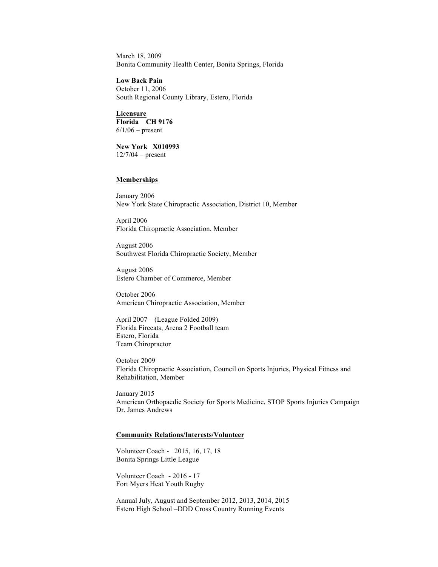March 18, 2009 Bonita Community Health Center, Bonita Springs, Florida

**Low Back Pain** October 11, 2006 South Regional County Library, Estero, Florida

**Licensure Florida CH 9176**  $6/1/06$  – present

**New York X010993** 12/7/04 – present

# **Memberships**

January 2006 New York State Chiropractic Association, District 10, Member

April 2006 Florida Chiropractic Association, Member

August 2006 Southwest Florida Chiropractic Society, Member

August 2006 Estero Chamber of Commerce, Member

October 2006 American Chiropractic Association, Member

April 2007 – (League Folded 2009) Florida Firecats, Arena 2 Football team Estero, Florida Team Chiropractor

October 2009 Florida Chiropractic Association, Council on Sports Injuries, Physical Fitness and Rehabilitation, Member

January 2015 American Orthopaedic Society for Sports Medicine, STOP Sports Injuries Campaign Dr. James Andrews

#### **Community Relations/Interests/Volunteer**

Volunteer Coach - 2015, 16, 17, 18 Bonita Springs Little League

Volunteer Coach - 2016 - 17 Fort Myers Heat Youth Rugby

Annual July, August and September 2012, 2013, 2014, 2015 Estero High School –DDD Cross Country Running Events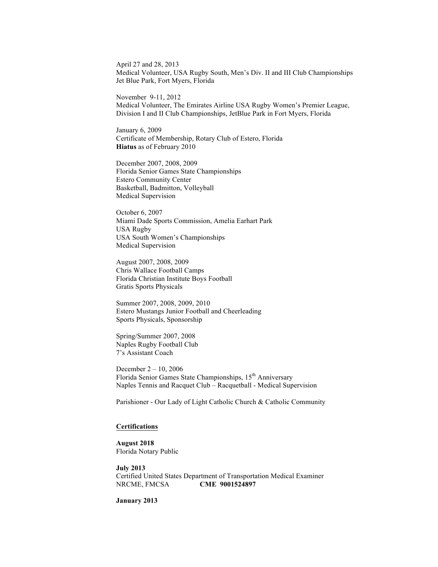April 27 and 28, 2013 Medical Volunteer, USA Rugby South, Men's Div. II and III Club Championships Jet Blue Park, Fort Myers, Florida

November 9-11, 2012 Medical Volunteer, The Emirates Airline USA Rugby Women's Premier League, Division I and II Club Championships, JetBlue Park in Fort Myers, Florida

January 6, 2009 Certificate of Membership, Rotary Club of Estero, Florida **Hiatus** as of February 2010

December 2007, 2008, 2009 Florida Senior Games State Championships Estero Community Center Basketball, Badmitton, Volleyball Medical Supervision

October 6, 2007 Miami Dade Sports Commission, Amelia Earhart Park USA Rugby USA South Women's Championships Medical Supervision

August 2007, 2008, 2009 Chris Wallace Football Camps Florida Christian Institute Boys Football Gratis Sports Physicals

Summer 2007, 2008, 2009, 2010 Estero Mustangs Junior Football and Cheerleading Sports Physicals, Sponsorship

Spring/Summer 2007, 2008 Naples Rugby Football Club 7's Assistant Coach

December 2 – 10, 2006 Florida Senior Games State Championships, 15<sup>th</sup> Anniversary Naples Tennis and Racquet Club – Racquetball - Medical Supervision

Parishioner - Our Lady of Light Catholic Church & Catholic Community

#### **Certifications**

**August 2018** Florida Notary Public

**July 2013** Certified United States Department of Transportation Medical Examiner NRCME, FMCSA **CME 9001524897**

**January 2013**